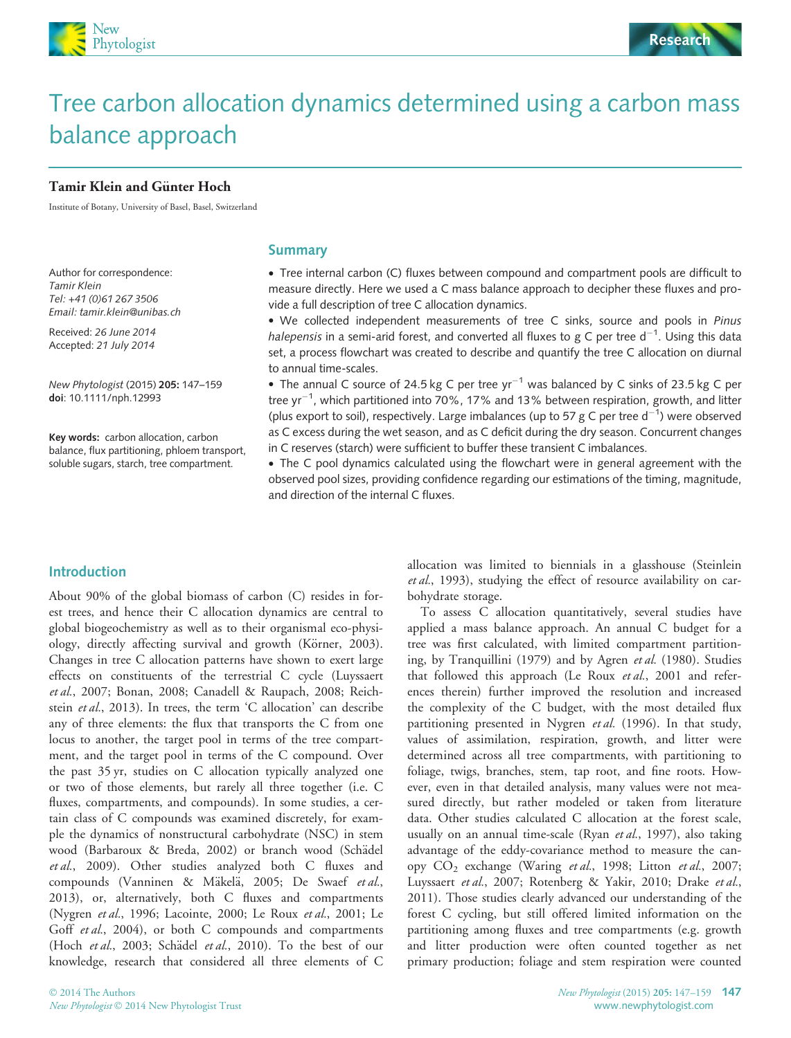



# Tree carbon allocation dynamics determined using a carbon mass balance approach

#### Tamir Klein and Günter Hoch

Institute of Botany, University of Basel, Basel, Switzerland

Author for correspondence: Tamir Klein Tel: +41 (0)61 267 3506 Email: tamir.klein@unibas.ch

Received: 26 June 2014 Accepted: 21 July 2014

New Phytologist (2015) 205: 147–159 doi: 10.1111/nph.12993

Key words: carbon allocation, carbon balance, flux partitioning, phloem transport, soluble sugars, starch, tree compartment.

## **Summary**

 Tree internal carbon (C) fluxes between compound and compartment pools are difficult to measure directly. Here we used a C mass balance approach to decipher these fluxes and provide a full description of tree C allocation dynamics.

 We collected independent measurements of tree C sinks, source and pools in Pinus halepensis in a semi-arid forest, and converted all fluxes to g C per tree  $d^{-1}$ . Using this data set, a process flowchart was created to describe and quantify the tree C allocation on diurnal to annual time-scales.

• The annual C source of 24.5 kg C per tree  $yr^{-1}$  was balanced by C sinks of 23.5 kg C per tree yr $^{-1}$ , which partitioned into 70%, 17% and 13% between respiration, growth, and litter (plus export to soil), respectively. Large imbalances (up to 57 g C per tree  $d^{-1}$ ) were observed as C excess during the wet season, and as C deficit during the dry season. Concurrent changes in C reserves (starch) were sufficient to buffer these transient C imbalances.

 The C pool dynamics calculated using the flowchart were in general agreement with the observed pool sizes, providing confidence regarding our estimations of the timing, magnitude, and direction of the internal C fluxes.

# Introduction

About 90% of the global biomass of carbon (C) resides in forest trees, and hence their C allocation dynamics are central to global biogeochemistry as well as to their organismal eco-physiology, directly affecting survival and growth (Körner, 2003). Changes in tree C allocation patterns have shown to exert large effects on constituents of the terrestrial C cycle (Luyssaert et al., 2007; Bonan, 2008; Canadell & Raupach, 2008; Reichstein et al., 2013). In trees, the term 'C allocation' can describe any of three elements: the flux that transports the C from one locus to another, the target pool in terms of the tree compartment, and the target pool in terms of the C compound. Over the past 35 yr, studies on C allocation typically analyzed one or two of those elements, but rarely all three together (i.e. C fluxes, compartments, and compounds). In some studies, a certain class of C compounds was examined discretely, for example the dynamics of nonstructural carbohydrate (NSC) in stem wood (Barbaroux & Breda, 2002) or branch wood (Schädel et al., 2009). Other studies analyzed both C fluxes and compounds (Vanninen & Mäkelä, 2005; De Swaef et al., 2013), or, alternatively, both C fluxes and compartments (Nygren et al., 1996; Lacointe, 2000; Le Roux et al., 2001; Le Goff et al., 2004), or both C compounds and compartments (Hoch et al., 2003; Schädel et al., 2010). To the best of our knowledge, research that considered all three elements of C

allocation was limited to biennials in a glasshouse (Steinlein et al., 1993), studying the effect of resource availability on carbohydrate storage.

To assess C allocation quantitatively, several studies have applied a mass balance approach. An annual C budget for a tree was first calculated, with limited compartment partitioning, by Tranquillini (1979) and by Agren et al. (1980). Studies that followed this approach (Le Roux et al., 2001 and references therein) further improved the resolution and increased the complexity of the C budget, with the most detailed flux partitioning presented in Nygren et al. (1996). In that study, values of assimilation, respiration, growth, and litter were determined across all tree compartments, with partitioning to foliage, twigs, branches, stem, tap root, and fine roots. However, even in that detailed analysis, many values were not measured directly, but rather modeled or taken from literature data. Other studies calculated C allocation at the forest scale, usually on an annual time-scale (Ryan et al., 1997), also taking advantage of the eddy-covariance method to measure the canopy CO<sub>2</sub> exchange (Waring et al., 1998; Litton et al., 2007; Luyssaert et al., 2007; Rotenberg & Yakir, 2010; Drake et al., 2011). Those studies clearly advanced our understanding of the forest C cycling, but still offered limited information on the partitioning among fluxes and tree compartments (e.g. growth and litter production were often counted together as net primary production; foliage and stem respiration were counted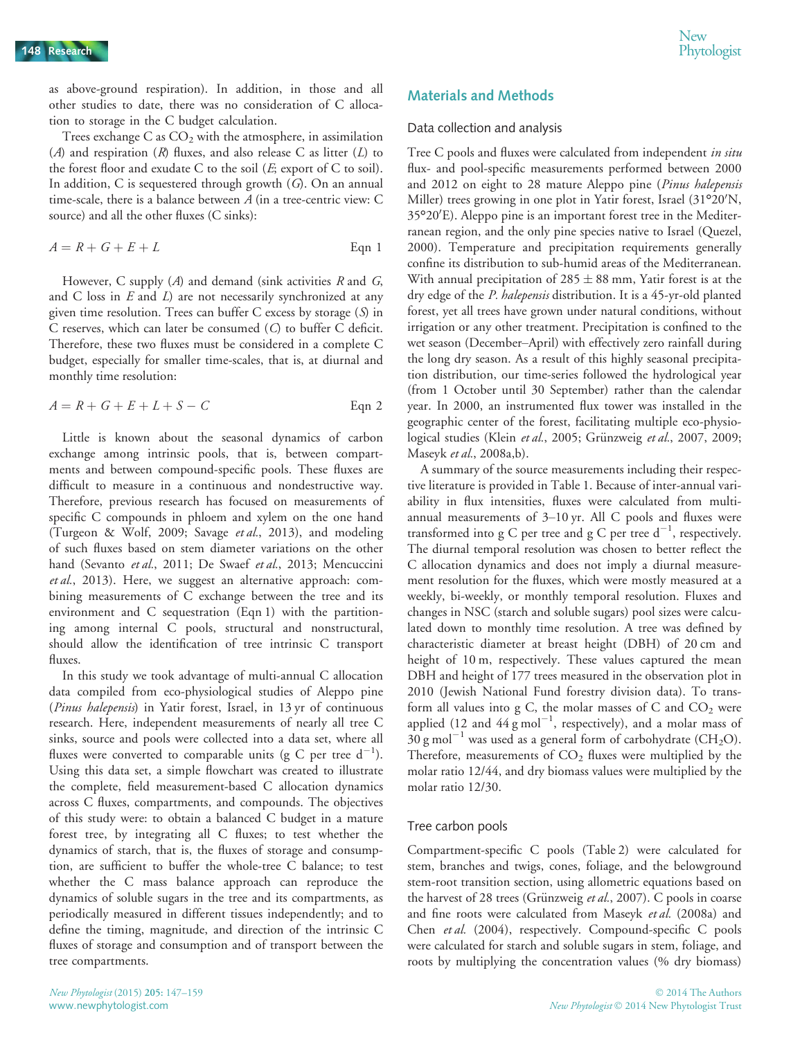as above-ground respiration). In addition, in those and all other studies to date, there was no consideration of C allocation to storage in the C budget calculation.

Trees exchange  $C$  as  $CO<sub>2</sub>$  with the atmosphere, in assimilation (A) and respiration (R) fluxes, and also release C as litter (L) to the forest floor and exudate C to the soil  $(E;$  export of C to soil). In addition, C is sequestered through growth  $(G)$ . On an annual time-scale, there is a balance between A (in a tree-centric view: C source) and all the other fluxes (C sinks):

$$
A = R + G + E + L
$$
 Eqn 1

However, C supply  $(A)$  and demand (sink activities R and G, and C loss in  $E$  and  $L$ ) are not necessarily synchronized at any given time resolution. Trees can buffer C excess by storage (S) in C reserves, which can later be consumed (C) to buffer C deficit. Therefore, these two fluxes must be considered in a complete C budget, especially for smaller time-scales, that is, at diurnal and monthly time resolution:

$$
A = R + G + E + L + S - C
$$
 Eqn 2

Little is known about the seasonal dynamics of carbon exchange among intrinsic pools, that is, between compartments and between compound-specific pools. These fluxes are difficult to measure in a continuous and nondestructive way. Therefore, previous research has focused on measurements of specific C compounds in phloem and xylem on the one hand (Turgeon & Wolf, 2009; Savage et al., 2013), and modeling of such fluxes based on stem diameter variations on the other hand (Sevanto et al., 2011; De Swaef et al., 2013; Mencuccini et al., 2013). Here, we suggest an alternative approach: combining measurements of C exchange between the tree and its environment and C sequestration (Eqn 1) with the partitioning among internal C pools, structural and nonstructural, should allow the identification of tree intrinsic C transport fluxes.

In this study we took advantage of multi-annual C allocation data compiled from eco-physiological studies of Aleppo pine (Pinus halepensis) in Yatir forest, Israel, in 13 yr of continuous research. Here, independent measurements of nearly all tree C sinks, source and pools were collected into a data set, where all fluxes were converted to comparable units (g C per tree  $d^{-1}$ ). Using this data set, a simple flowchart was created to illustrate the complete, field measurement-based C allocation dynamics across C fluxes, compartments, and compounds. The objectives of this study were: to obtain a balanced C budget in a mature forest tree, by integrating all C fluxes; to test whether the dynamics of starch, that is, the fluxes of storage and consumption, are sufficient to buffer the whole-tree C balance; to test whether the C mass balance approach can reproduce the dynamics of soluble sugars in the tree and its compartments, as periodically measured in different tissues independently; and to define the timing, magnitude, and direction of the intrinsic C fluxes of storage and consumption and of transport between the tree compartments.

# Materials and Methods

## Data collection and analysis

Tree C pools and fluxes were calculated from independent in situ flux- and pool-specific measurements performed between 2000 and 2012 on eight to 28 mature Aleppo pine (Pinus halepensis Miller) trees growing in one plot in Yatir forest, Israel (31°20'N, 35°20'E). Aleppo pine is an important forest tree in the Mediterranean region, and the only pine species native to Israel (Quezel, 2000). Temperature and precipitation requirements generally confine its distribution to sub-humid areas of the Mediterranean. With annual precipitation of  $285 \pm 88$  mm, Yatir forest is at the dry edge of the P. halepensis distribution. It is a 45-yr-old planted forest, yet all trees have grown under natural conditions, without irrigation or any other treatment. Precipitation is confined to the wet season (December–April) with effectively zero rainfall during the long dry season. As a result of this highly seasonal precipitation distribution, our time-series followed the hydrological year (from 1 October until 30 September) rather than the calendar year. In 2000, an instrumented flux tower was installed in the geographic center of the forest, facilitating multiple eco-physiological studies (Klein et al., 2005; Grünzweig et al., 2007, 2009; Maseyk et al., 2008a,b).

A summary of the source measurements including their respective literature is provided in Table 1. Because of inter-annual variability in flux intensities, fluxes were calculated from multiannual measurements of 3–10 yr. All C pools and fluxes were transformed into g C per tree and g C per tree  $d^{-1}$ , respectively. The diurnal temporal resolution was chosen to better reflect the C allocation dynamics and does not imply a diurnal measurement resolution for the fluxes, which were mostly measured at a weekly, bi-weekly, or monthly temporal resolution. Fluxes and changes in NSC (starch and soluble sugars) pool sizes were calculated down to monthly time resolution. A tree was defined by characteristic diameter at breast height (DBH) of 20 cm and height of 10 m, respectively. These values captured the mean DBH and height of 177 trees measured in the observation plot in 2010 (Jewish National Fund forestry division data). To transform all values into g C, the molar masses of C and  $CO<sub>2</sub>$  were applied (12 and  $44 \text{ g mol}^{-1}$ , respectively), and a molar mass of  $30 \text{ g mol}^{-1}$  was used as a general form of carbohydrate (CH<sub>2</sub>O). Therefore, measurements of  $CO<sub>2</sub>$  fluxes were multiplied by the molar ratio 12/44, and dry biomass values were multiplied by the molar ratio 12/30.

## Tree carbon pools

Compartment-specific C pools (Table 2) were calculated for stem, branches and twigs, cones, foliage, and the belowground stem-root transition section, using allometric equations based on the harvest of 28 trees (Grünzweig et al., 2007). C pools in coarse and fine roots were calculated from Maseyk et al. (2008a) and Chen et al. (2004), respectively. Compound-specific C pools were calculated for starch and soluble sugars in stem, foliage, and roots by multiplying the concentration values (% dry biomass)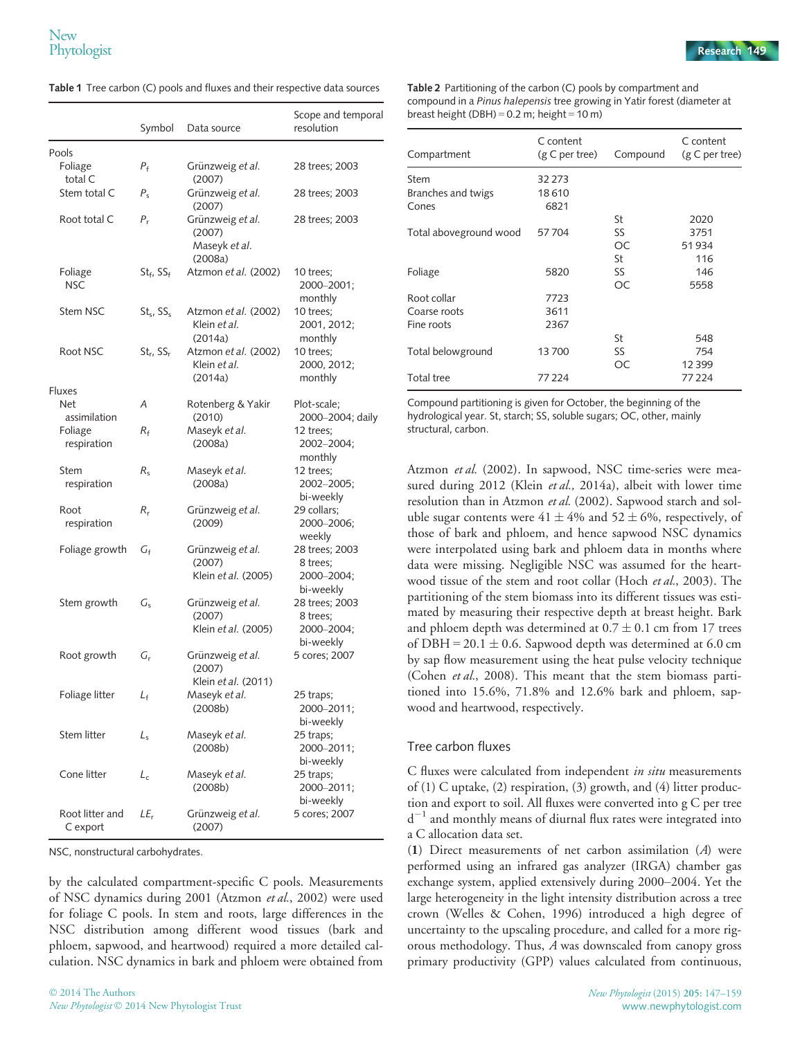Symbol Data source Scope and temporal resolution Pools Foliage total C  $P_f$  Grünzweig et al. (2007) 28 trees; 2003 Stem total C  $P_s$  Grünzweig et al. (2007) 28 trees; 2003 Root total C  $P_r$  Grünzweig et al. (2007) Maseyk et al. (2008a) 28 trees; 2003 Foliage **NSC**  $St_f$ ,  $SS_f$  Atzmon et al. (2002) 10 trees; 2000–2001; monthly Stem NSC St<sub>s</sub>, SS<sub>s</sub> Atzmon et al. (2002) Klein et al. (2014a) 10 trees; 2001, 2012; monthly Root NSC  $St_r$ , SS<sub>r</sub> Atzmon et al. (2002) Klein et al. (2014a) 10 trees; 2000, 2012; monthly Fluxes Net assimilation A Rotenberg & Yakir (2010) Plot-scale; 2000–2004; daily Foliage respiration  $R_f$  Maseyk *et al.* (2008a) 12 trees; 2002–2004; monthly Stem respiration  $R_s$  Maseyk et al. (2008a) 12 trees; 2002–2005; bi-weekly Root respiration  $R_r$  Grünzweig et al. (2009) 29 collars; 2000–2006; weekly Foliage growth  $G_f$  Grünzweig et al. (2007) Klein et al. (2005) 28 trees; 2003 8 trees; 2000–2004; bi-weekly Stem growth  $G_s$  Grünzweig et al. (2007) Klein et al. (2005) 28 trees; 2003 8 trees; 2000–2004; bi-weekly Root growth  $G_r$  Grünzweig et al. (2007) Klein et al. (2011) 5 cores; 2007 Foliage litter  $L_f$  Maseyk *et al.* (2008b) 25 traps; 2000–2011; bi-weekly Stem litter  $L_s$  Maseyk et al. (2008b) 25 traps; 2000–2011; bi-weekly Cone litter  $L_c$  Maseyk *et al.* (2008b) 25 traps; 2000–2011; bi-weekly Root litter and C export  $LE<sub>r</sub>$  Grünzweig et al. (2007) 5 cores; 2007

NSC, nonstructural carbohydrates.

by the calculated compartment-specific C pools. Measurements of NSC dynamics during 2001 (Atzmon et al., 2002) were used for foliage C pools. In stem and roots, large differences in the NSC distribution among different wood tissues (bark and phloem, sapwood, and heartwood) required a more detailed calculation. NSC dynamics in bark and phloem were obtained from

Table 2 Partitioning of the carbon (C) pools by compartment and compound in a Pinus halepensis tree growing in Yatir forest (diameter at breast height (DBH) =  $0.2$  m; height =  $10$  m)

| Compartment            | C content<br>(g C per tree) | Compound | C content<br>(g C per tree) |
|------------------------|-----------------------------|----------|-----------------------------|
|                        |                             |          |                             |
| Stem                   | 32 2 7 3                    |          |                             |
| Branches and twigs     | 18610                       |          |                             |
| Cones                  | 6821                        |          |                             |
|                        |                             | St       | 2020                        |
| Total aboveground wood | 57704                       | SS       | 3751                        |
|                        |                             | OC.      | 51934                       |
|                        |                             | St       | 116                         |
| Foliage                | 5820                        | SS       | 146                         |
|                        |                             | ОC       | 5558                        |
| Root collar            | 7723                        |          |                             |
| Coarse roots           | 3611                        |          |                             |
| Fine roots             | 2367                        |          |                             |
|                        |                             | St       | 548                         |
| Total belowground      | 13700                       | SS       | 754                         |
|                        |                             | OC.      | 12399                       |
| <b>Total tree</b>      | 77224                       |          | 77 224                      |

Compound partitioning is given for October, the beginning of the hydrological year. St, starch; SS, soluble sugars; OC, other, mainly structural, carbon.

Atzmon et al. (2002). In sapwood, NSC time-series were measured during 2012 (Klein et al., 2014a), albeit with lower time resolution than in Atzmon et al. (2002). Sapwood starch and soluble sugar contents were  $41 \pm 4\%$  and  $52 \pm 6\%$ , respectively, of those of bark and phloem, and hence sapwood NSC dynamics were interpolated using bark and phloem data in months where data were missing. Negligible NSC was assumed for the heartwood tissue of the stem and root collar (Hoch et al., 2003). The partitioning of the stem biomass into its different tissues was estimated by measuring their respective depth at breast height. Bark and phloem depth was determined at  $0.7 \pm 0.1$  cm from 17 trees of DBH =  $20.1 \pm 0.6$ . Sapwood depth was determined at 6.0 cm by sap flow measurement using the heat pulse velocity technique (Cohen et al., 2008). This meant that the stem biomass partitioned into 15.6%, 71.8% and 12.6% bark and phloem, sapwood and heartwood, respectively.

#### Tree carbon fluxes

C fluxes were calculated from independent in situ measurements of (1) C uptake, (2) respiration, (3) growth, and (4) litter production and export to soil. All fluxes were converted into g C per tree  $d^{-1}$  and monthly means of diurnal flux rates were integrated into a C allocation data set.

(1) Direct measurements of net carbon assimilation (A) were performed using an infrared gas analyzer (IRGA) chamber gas exchange system, applied extensively during 2000–2004. Yet the large heterogeneity in the light intensity distribution across a tree crown (Welles & Cohen, 1996) introduced a high degree of uncertainty to the upscaling procedure, and called for a more rigorous methodology. Thus, A was downscaled from canopy gross primary productivity (GPP) values calculated from continuous,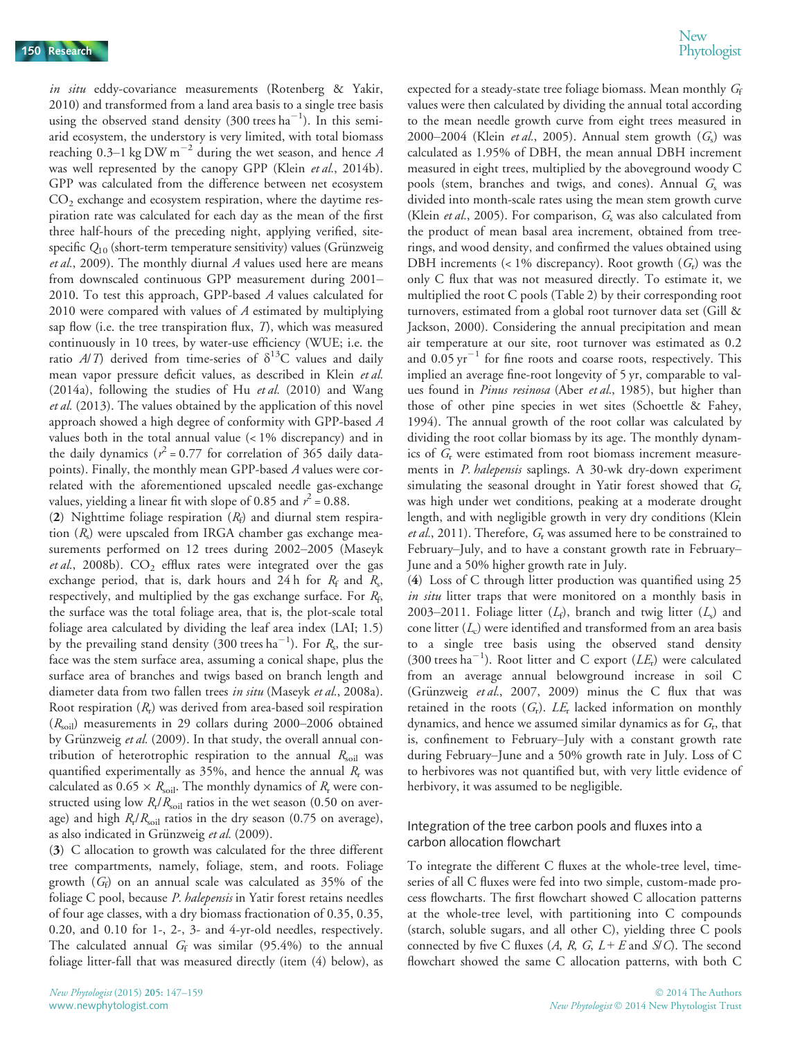in situ eddy-covariance measurements (Rotenberg & Yakir, 2010) and transformed from a land area basis to a single tree basis using the observed stand density (300 trees  $ha^{-1}$ ). In this semiarid ecosystem, the understory is very limited, with total biomass reaching 0.3–1 kg DW m<sup>-2</sup> during the wet season, and hence A was well represented by the canopy GPP (Klein et al., 2014b). GPP was calculated from the difference between net ecosystem  $CO<sub>2</sub>$  exchange and ecosystem respiration, where the daytime respiration rate was calculated for each day as the mean of the first three half-hours of the preceding night, applying verified, sitespecific  $Q_{10}$  (short-term temperature sensitivity) values (Grünzweig et al., 2009). The monthly diurnal  $A$  values used here are means from downscaled continuous GPP measurement during 2001– 2010. To test this approach, GPP-based A values calculated for 2010 were compared with values of  $A$  estimated by multiplying sap flow (i.e. the tree transpiration flux, T), which was measured continuously in 10 trees, by water-use efficiency (WUE; i.e. the ratio  $A/T$ ) derived from time-series of  $\delta^{13}$ C values and daily mean vapor pressure deficit values, as described in Klein et al. (2014a), following the studies of Hu et al. (2010) and Wang et al. (2013). The values obtained by the application of this novel approach showed a high degree of conformity with GPP-based A values both in the total annual value (< 1% discrepancy) and in the daily dynamics ( $r^2$  = 0.77 for correlation of 365 daily datapoints). Finally, the monthly mean GPP-based A values were correlated with the aforementioned upscaled needle gas-exchange values, yielding a linear fit with slope of 0.85 and  $r^2 = 0.88$ .

(2) Nighttime foliage respiration  $(R_f)$  and diurnal stem respiration  $(R_s)$  were upscaled from IRGA chamber gas exchange measurements performed on 12 trees during 2002–2005 (Maseyk et al., 2008b).  $CO<sub>2</sub>$  efflux rates were integrated over the gas exchange period, that is, dark hours and 24 h for  $R_f$  and  $R_s$ , respectively, and multiplied by the gas exchange surface. For  $R_f$ , the surface was the total foliage area, that is, the plot-scale total foliage area calculated by dividing the leaf area index (LAI; 1.5) by the prevailing stand density (300 trees  $ha^{-1}$ ). For  $R_s$ , the surface was the stem surface area, assuming a conical shape, plus the surface area of branches and twigs based on branch length and diameter data from two fallen trees in situ (Maseyk et al., 2008a). Root respiration  $(R<sub>r</sub>)$  was derived from area-based soil respiration  $(R_{\text{soil}})$  measurements in 29 collars during 2000–2006 obtained by Grünzweig et al. (2009). In that study, the overall annual contribution of heterotrophic respiration to the annual  $R_{\text{solid}}$  was quantified experimentally as 35%, and hence the annual  $R_r$  was calculated as  $0.65 \times R_{\text{soil}}$ . The monthly dynamics of  $R_{\text{r}}$  were constructed using low  $R_r/R_{\text{solid}}$  ratios in the wet season (0.50 on average) and high  $R_r/R_{\text{solid}}$  ratios in the dry season (0.75 on average), as also indicated in Grünzweig et al. (2009).

(3) C allocation to growth was calculated for the three different tree compartments, namely, foliage, stem, and roots. Foliage growth  $(G_f)$  on an annual scale was calculated as 35% of the foliage C pool, because P. halepensis in Yatir forest retains needles of four age classes, with a dry biomass fractionation of 0.35, 0.35, 0.20, and 0.10 for 1-, 2-, 3- and 4-yr-old needles, respectively. The calculated annual  $G_f$  was similar (95.4%) to the annual foliage litter-fall that was measured directly (item (4) below), as

expected for a steady-state tree foliage biomass. Mean monthly  $G_f$ values were then calculated by dividing the annual total according to the mean needle growth curve from eight trees measured in 2000–2004 (Klein et al., 2005). Annual stem growth  $(G<sub>s</sub>)$  was calculated as 1.95% of DBH, the mean annual DBH increment measured in eight trees, multiplied by the aboveground woody C pools (stem, branches and twigs, and cones). Annual  $G<sub>s</sub>$  was divided into month-scale rates using the mean stem growth curve (Klein *et al.*, 2005). For comparison,  $G<sub>s</sub>$  was also calculated from the product of mean basal area increment, obtained from treerings, and wood density, and confirmed the values obtained using DBH increments (< 1% discrepancy). Root growth  $(G_r)$  was the only C flux that was not measured directly. To estimate it, we multiplied the root C pools (Table 2) by their corresponding root turnovers, estimated from a global root turnover data set (Gill & Jackson, 2000). Considering the annual precipitation and mean air temperature at our site, root turnover was estimated as 0.2 and  $0.05 \text{ yr}^{-1}$  for fine roots and coarse roots, respectively. This implied an average fine-root longevity of 5 yr, comparable to values found in *Pinus resinosa* (Aber et al., 1985), but higher than those of other pine species in wet sites (Schoettle & Fahey, 1994). The annual growth of the root collar was calculated by dividing the root collar biomass by its age. The monthly dynamics of G<sub>r</sub> were estimated from root biomass increment measurements in *P. halepensis* saplings. A 30-wk dry-down experiment simulating the seasonal drought in Yatir forest showed that  $G_r$ was high under wet conditions, peaking at a moderate drought length, and with negligible growth in very dry conditions (Klein et al., 2011). Therefore,  $G_r$  was assumed here to be constrained to February–July, and to have a constant growth rate in February– June and a 50% higher growth rate in July.

(4) Loss of C through litter production was quantified using 25 in situ litter traps that were monitored on a monthly basis in 2003–2011. Foliage litter  $(L_f)$ , branch and twig litter  $(L_s)$  and cone litter  $(L_c)$  were identified and transformed from an area basis to a single tree basis using the observed stand density (300 trees ha<sup>-1</sup>). Root litter and C export ( $LE$ <sub>r</sub>) were calculated from an average annual belowground increase in soil C (Grünzweig et al., 2007, 2009) minus the C flux that was retained in the roots  $(G_r)$ .  $LE_r$  lacked information on monthly dynamics, and hence we assumed similar dynamics as for  $G_r$ , that is, confinement to February–July with a constant growth rate during February–June and a 50% growth rate in July. Loss of C to herbivores was not quantified but, with very little evidence of herbivory, it was assumed to be negligible.

#### Integration of the tree carbon pools and fluxes into a carbon allocation flowchart

To integrate the different C fluxes at the whole-tree level, timeseries of all C fluxes were fed into two simple, custom-made process flowcharts. The first flowchart showed C allocation patterns at the whole-tree level, with partitioning into C compounds (starch, soluble sugars, and all other C), yielding three C pools connected by five C fluxes  $(A, R, G, L + E \text{ and } S/C)$ . The second flowchart showed the same C allocation patterns, with both C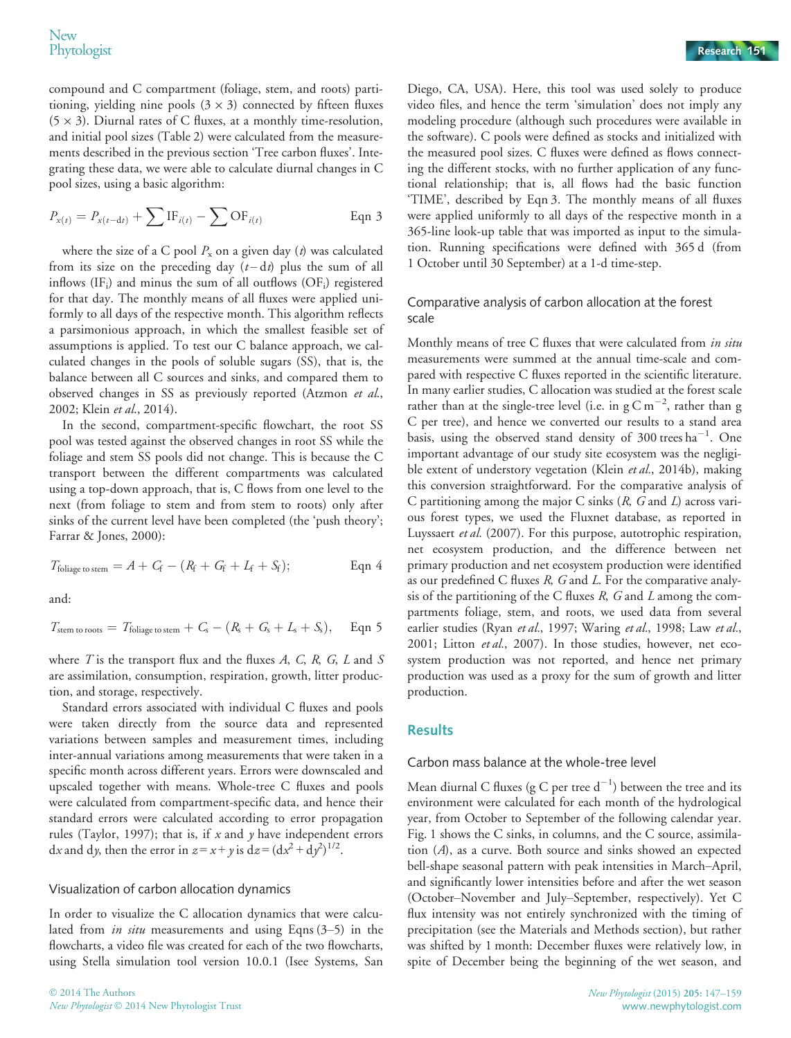compound and C compartment (foliage, stem, and roots) partitioning, yielding nine pools  $(3 \times 3)$  connected by fifteen fluxes  $(5 \times 3)$ . Diurnal rates of C fluxes, at a monthly time-resolution, and initial pool sizes (Table 2) were calculated from the measurements described in the previous section 'Tree carbon fluxes'. Integrating these data, we were able to calculate diurnal changes in C pool sizes, using a basic algorithm:

$$
P_{x(t)} = P_{x(t-dt)} + \sum \text{IF}_{i(t)} - \sum \text{OF}_{i(t)} \qquad \text{Eqn 3}
$$

where the size of a C pool  $P_x$  on a given day (t) was calculated from its size on the preceding day  $(t-dt)$  plus the sum of all inflows  $(IF_i)$  and minus the sum of all outflows  $(OF_i)$  registered for that day. The monthly means of all fluxes were applied uniformly to all days of the respective month. This algorithm reflects a parsimonious approach, in which the smallest feasible set of assumptions is applied. To test our C balance approach, we calculated changes in the pools of soluble sugars (SS), that is, the balance between all C sources and sinks, and compared them to observed changes in SS as previously reported (Atzmon et al., 2002; Klein et al., 2014).

In the second, compartment-specific flowchart, the root SS pool was tested against the observed changes in root SS while the foliage and stem SS pools did not change. This is because the C transport between the different compartments was calculated using a top-down approach, that is, C flows from one level to the next (from foliage to stem and from stem to roots) only after sinks of the current level have been completed (the 'push theory'; Farrar & Jones, 2000):

$$
T_{\text{foliage to stem}} = A + C_{\text{f}} - (R_{\text{f}} + G_{\text{f}} + L_{\text{f}} + S_{\text{f}}); \tag{Eqn 4}
$$

and:

$$
T_{\text{stem to roots}} = T_{\text{foliage to stem}} + C_{\text{s}} - (R_{\text{s}} + G_{\text{s}} + L_{\text{s}} + S_{\text{s}}), \quad \text{Eqn 5}
$$

where  $T$  is the transport flux and the fluxes  $A$ ,  $C$ ,  $R$ ,  $G$ ,  $L$  and  $S$ are assimilation, consumption, respiration, growth, litter production, and storage, respectively.

Standard errors associated with individual C fluxes and pools were taken directly from the source data and represented variations between samples and measurement times, including inter-annual variations among measurements that were taken in a specific month across different years. Errors were downscaled and upscaled together with means. Whole-tree C fluxes and pools were calculated from compartment-specific data, and hence their standard errors were calculated according to error propagation rules (Taylor, 1997); that is, if  $x$  and  $y$  have independent errors dx and dy, then the error in  $z = x + y$  is  $dz = (dx^2 + dy^2)^{1/2}$ .

#### Visualization of carbon allocation dynamics

In order to visualize the C allocation dynamics that were calculated from *in situ* measurements and using Eqns  $(3-5)$  in the flowcharts, a video file was created for each of the two flowcharts, using Stella simulation tool version 10.0.1 (Isee Systems, San

Diego, CA, USA). Here, this tool was used solely to produce video files, and hence the term 'simulation' does not imply any modeling procedure (although such procedures were available in the software). C pools were defined as stocks and initialized with the measured pool sizes. C fluxes were defined as flows connecting the different stocks, with no further application of any functional relationship; that is, all flows had the basic function 'TIME', described by Eqn 3. The monthly means of all fluxes were applied uniformly to all days of the respective month in a 365-line look-up table that was imported as input to the simulation. Running specifications were defined with 365 d (from 1 October until 30 September) at a 1-d time-step.

### Comparative analysis of carbon allocation at the forest scale

Monthly means of tree C fluxes that were calculated from in situ measurements were summed at the annual time-scale and compared with respective C fluxes reported in the scientific literature. In many earlier studies, C allocation was studied at the forest scale rather than at the single-tree level (i.e. in  $gC m^{-2}$ , rather than g C per tree), and hence we converted our results to a stand area basis, using the observed stand density of  $300$  trees ha<sup>-1</sup>. One important advantage of our study site ecosystem was the negligible extent of understory vegetation (Klein et al., 2014b), making this conversion straightforward. For the comparative analysis of C partitioning among the major C sinks  $(R, G \text{ and } L)$  across various forest types, we used the Fluxnet database, as reported in Luyssaert et al. (2007). For this purpose, autotrophic respiration, net ecosystem production, and the difference between net primary production and net ecosystem production were identified as our predefined C fluxes R, G and L. For the comparative analysis of the partitioning of the C fluxes  $R$ ,  $G$  and  $L$  among the compartments foliage, stem, and roots, we used data from several earlier studies (Ryan et al., 1997; Waring et al., 1998; Law et al., 2001; Litton et al., 2007). In those studies, however, net ecosystem production was not reported, and hence net primary production was used as a proxy for the sum of growth and litter production.

## **Results**

#### Carbon mass balance at the whole-tree level

Mean diurnal C fluxes (g C per tree  $d^{-1}$ ) between the tree and its environment were calculated for each month of the hydrological year, from October to September of the following calendar year. Fig. 1 shows the C sinks, in columns, and the C source, assimilation (A), as a curve. Both source and sinks showed an expected bell-shape seasonal pattern with peak intensities in March–April, and significantly lower intensities before and after the wet season (October–November and July–September, respectively). Yet C flux intensity was not entirely synchronized with the timing of precipitation (see the Materials and Methods section), but rather was shifted by 1 month: December fluxes were relatively low, in spite of December being the beginning of the wet season, and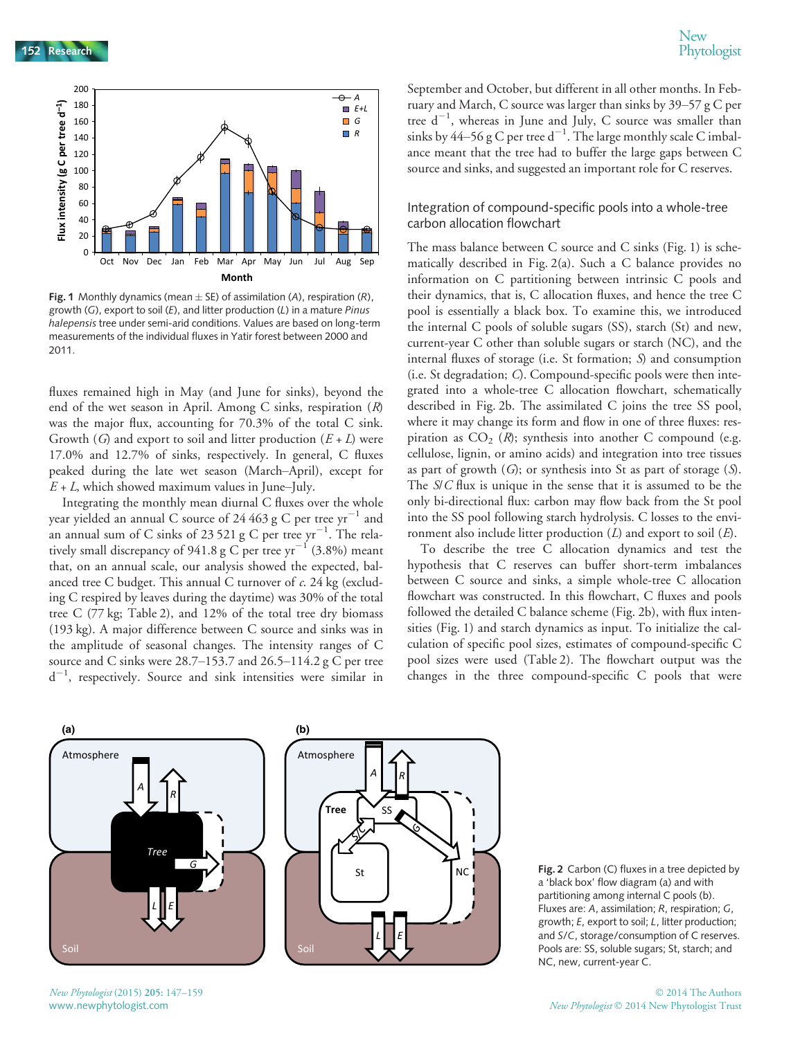

**Fig. 1** Monthly dynamics (mean  $\pm$  SE) of assimilation (A), respiration (R), growth (G), export to soil (E), and litter production (L) in a mature Pinus halepensis tree under semi-arid conditions. Values are based on long-term measurements of the individual fluxes in Yatir forest between 2000 and 2011.

fluxes remained high in May (and June for sinks), beyond the end of the wet season in April. Among C sinks, respiration  $(R)$ was the major flux, accounting for 70.3% of the total C sink. Growth (G) and export to soil and litter production  $(E+L)$  were 17.0% and 12.7% of sinks, respectively. In general, C fluxes peaked during the late wet season (March–April), except for  $E+L$ , which showed maximum values in June–July.

Integrating the monthly mean diurnal C fluxes over the whole year yielded an annual C source of 24 463 g C per tree  $yr^{-1}$  and an annual sum of C sinks of 23 521 g C per tree  $\rm{yr}^{-1}.$  The relatively small discrepancy of 941.8 g C per tree  $yr^{-1}$  (3.8%) meant that, on an annual scale, our analysis showed the expected, balanced tree C budget. This annual C turnover of c. 24 kg (excluding C respired by leaves during the daytime) was 30% of the total tree C (77 kg; Table 2), and 12% of the total tree dry biomass (193 kg). A major difference between C source and sinks was in the amplitude of seasonal changes. The intensity ranges of C source and C sinks were  $28.7-153.7$  and  $26.5-114.2$  g C per tree  $d^{-1}$ , respectively. Source and sink intensities were similar in

September and October, but different in all other months. In February and March, C source was larger than sinks by 39–57 g C per tree  $d^{-1}$ , whereas in June and July, C source was smaller than sinks by 44–56 g C per tree d $^{-1}$ . The large monthly scale C imbalance meant that the tree had to buffer the large gaps between C source and sinks, and suggested an important role for C reserves.

## Integration of compound-specific pools into a whole-tree carbon allocation flowchart

The mass balance between C source and C sinks (Fig. 1) is schematically described in Fig. 2(a). Such a C balance provides no information on C partitioning between intrinsic C pools and their dynamics, that is, C allocation fluxes, and hence the tree C pool is essentially a black box. To examine this, we introduced the internal C pools of soluble sugars (SS), starch (St) and new, current-year C other than soluble sugars or starch (NC), and the internal fluxes of storage (i.e. St formation; S) and consumption (i.e. St degradation; C). Compound-specific pools were then integrated into a whole-tree C allocation flowchart, schematically described in Fig. 2b. The assimilated C joins the tree SS pool, where it may change its form and flow in one of three fluxes: respiration as  $CO<sub>2</sub>$  (R); synthesis into another C compound (e.g. cellulose, lignin, or amino acids) and integration into tree tissues as part of growth  $(G)$ ; or synthesis into St as part of storage  $(S)$ . The S/C flux is unique in the sense that it is assumed to be the only bi-directional flux: carbon may flow back from the St pool into the SS pool following starch hydrolysis. C losses to the environment also include litter production  $(L)$  and export to soil  $(E)$ .

To describe the tree C allocation dynamics and test the hypothesis that C reserves can buffer short-term imbalances between C source and sinks, a simple whole-tree C allocation flowchart was constructed. In this flowchart, C fluxes and pools followed the detailed C balance scheme (Fig. 2b), with flux intensities (Fig. 1) and starch dynamics as input. To initialize the calculation of specific pool sizes, estimates of compound-specific C pool sizes were used (Table 2). The flowchart output was the changes in the three compound-specific C pools that were





 $NC$  Fig. 2 Carbon (C) fluxes in a tree depicted by a 'black box' flow diagram (a) and with partitioning among internal C pools (b). Fluxes are: A, assimilation; R, respiration; G, growth; E, export to soil; L, litter production; and S/C, storage/consumption of C reserves. Pools are: SS, soluble sugars; St, starch; and NC, new, current-year C.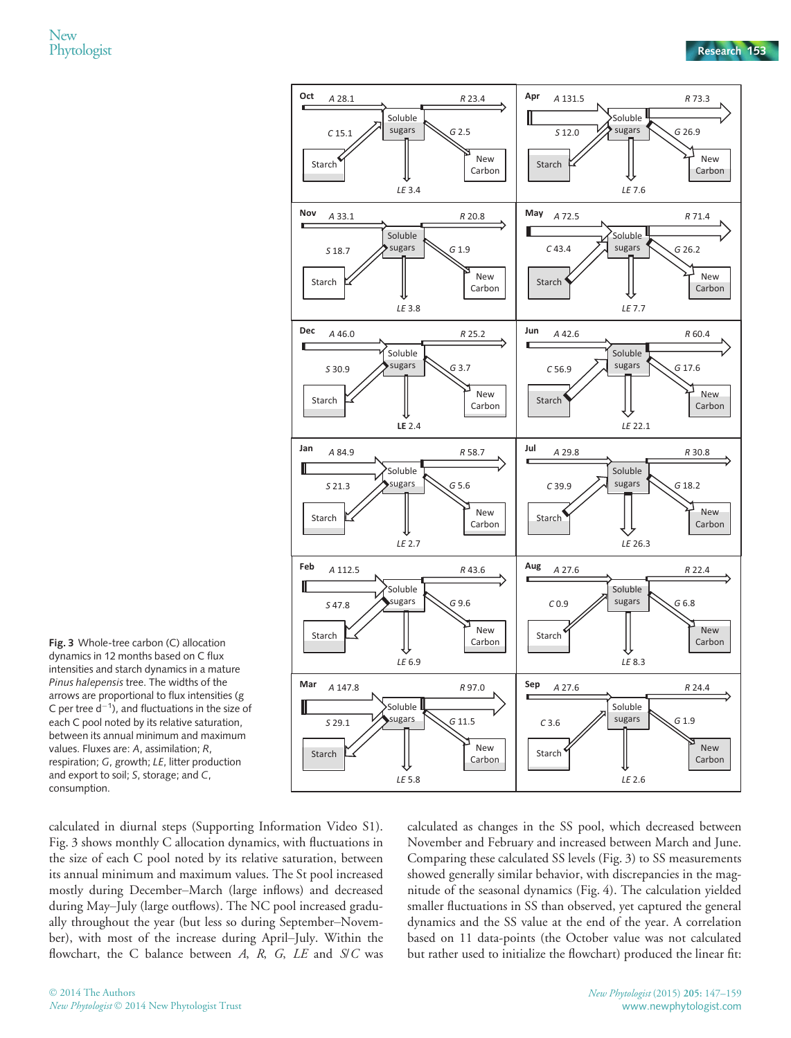

Fig. 3 Whole-tree carbon (C) allocation dynamics in 12 months based on C flux intensities and starch dynamics in a mature Pinus halepensis tree. The widths of the arrows are proportional to flux intensities (g C per tree  $d^{-1}$ ), and fluctuations in the size of each C pool noted by its relative saturation, between its annual minimum and maximum values. Fluxes are: A, assimilation; R, respiration; G, growth; LE, litter production and export to soil; S, storage; and C, consumption.

calculated in diurnal steps (Supporting Information Video S1). Fig. 3 shows monthly C allocation dynamics, with fluctuations in the size of each C pool noted by its relative saturation, between its annual minimum and maximum values. The St pool increased mostly during December–March (large inflows) and decreased during May–July (large outflows). The NC pool increased gradually throughout the year (but less so during September–November), with most of the increase during April–July. Within the flowchart, the C balance between  $A$ ,  $R$ ,  $G$ ,  $LE$  and  $S/C$  was calculated as changes in the SS pool, which decreased between November and February and increased between March and June. Comparing these calculated SS levels (Fig. 3) to SS measurements showed generally similar behavior, with discrepancies in the magnitude of the seasonal dynamics (Fig. 4). The calculation yielded smaller fluctuations in SS than observed, yet captured the general dynamics and the SS value at the end of the year. A correlation based on 11 data-points (the October value was not calculated but rather used to initialize the flowchart) produced the linear fit: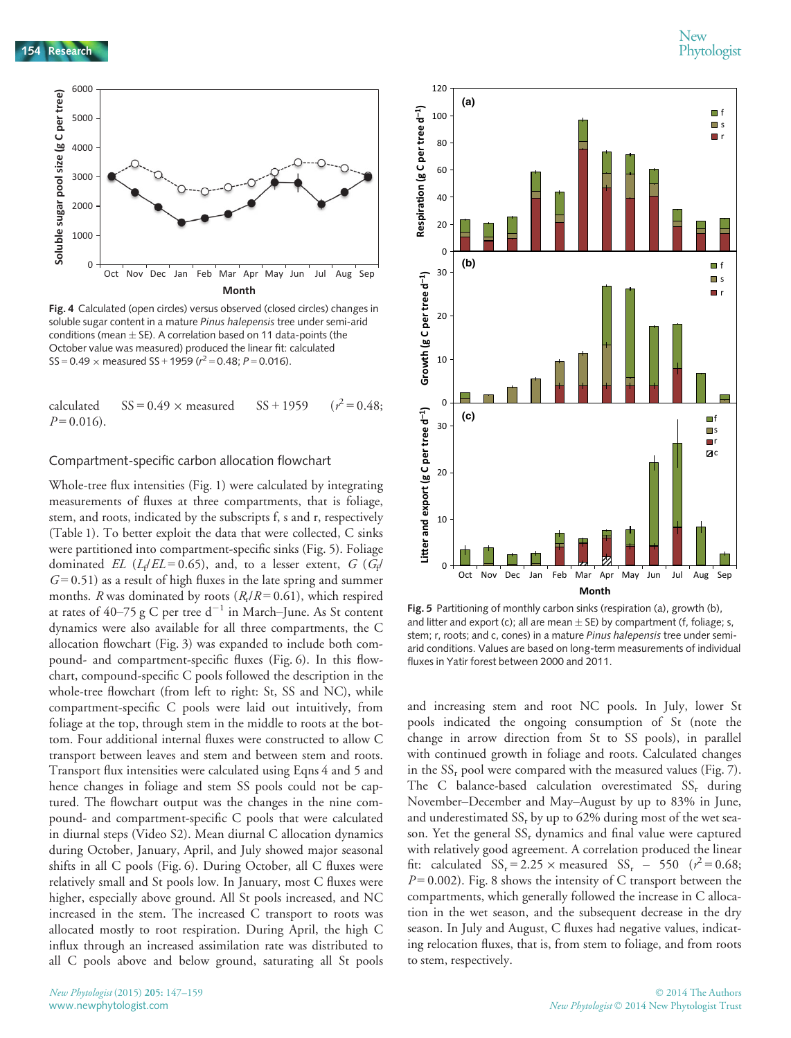154 Research 154 Phytologist



Fig. 4 Calculated (open circles) versus observed (closed circles) changes in soluble sugar content in a mature Pinus halepensis tree under semi-arid conditions (mean  $\pm$  SE). A correlation based on 11 data-points (the October value was measured) produced the linear fit: calculated  $SS = 0.49 \times$  measured SS + 1959 ( $r^2 = 0.48$ ; P = 0.016).

calculated  $SS = 0.49 \times measured$   $SS + 1959$  $(r^2 = 0.48;$  $P = 0.016$ .

#### Compartment-specific carbon allocation flowchart

Whole-tree flux intensities (Fig. 1) were calculated by integrating measurements of fluxes at three compartments, that is foliage, stem, and roots, indicated by the subscripts f, s and r, respectively (Table 1). To better exploit the data that were collected, C sinks were partitioned into compartment-specific sinks (Fig. 5). Foliage dominated EL ( $L_f/EL = 0.65$ ), and, to a lesser extent, G ( $G_f/d$  $G=0.51$ ) as a result of high fluxes in the late spring and summer months. R was dominated by roots  $(R_r/R = 0.61)$ , which respired at rates of  $40-75$  g C per tree  $d^{-1}$  in March–June. As St content dynamics were also available for all three compartments, the C allocation flowchart (Fig. 3) was expanded to include both compound- and compartment-specific fluxes (Fig. 6). In this flowchart, compound-specific C pools followed the description in the whole-tree flowchart (from left to right: St, SS and NC), while compartment-specific C pools were laid out intuitively, from foliage at the top, through stem in the middle to roots at the bottom. Four additional internal fluxes were constructed to allow C transport between leaves and stem and between stem and roots. Transport flux intensities were calculated using Eqns 4 and 5 and hence changes in foliage and stem SS pools could not be captured. The flowchart output was the changes in the nine compound- and compartment-specific C pools that were calculated in diurnal steps (Video S2). Mean diurnal C allocation dynamics during October, January, April, and July showed major seasonal shifts in all C pools (Fig. 6). During October, all C fluxes were relatively small and St pools low. In January, most C fluxes were higher, especially above ground. All St pools increased, and NC increased in the stem. The increased C transport to roots was allocated mostly to root respiration. During April, the high C influx through an increased assimilation rate was distributed to all C pools above and below ground, saturating all St pools



Fig. 5 Partitioning of monthly carbon sinks (respiration (a), growth (b), and litter and export (c); all are mean  $\pm$  SE) by compartment (f, foliage; s, stem; r, roots; and c, cones) in a mature Pinus halepensis tree under semiarid conditions. Values are based on long-term measurements of individual fluxes in Yatir forest between 2000 and 2011.

and increasing stem and root NC pools. In July, lower St pools indicated the ongoing consumption of St (note the change in arrow direction from St to SS pools), in parallel with continued growth in foliage and roots. Calculated changes in the  $SS_r$  pool were compared with the measured values (Fig. 7). The C balance-based calculation overestimated  $SS_r$  during November–December and May–August by up to 83% in June, and underestimated  $SS<sub>r</sub>$  by up to 62% during most of the wet season. Yet the general  $SS_r$  dynamics and final value were captured with relatively good agreement. A correlation produced the linear fit: calculated  $SS_r = 2.25 \times$  measured  $SS_r - 550$  ( $r^2 = 0.68$ ;  $P = 0.002$ ). Fig. 8 shows the intensity of C transport between the compartments, which generally followed the increase in C allocation in the wet season, and the subsequent decrease in the dry season. In July and August, C fluxes had negative values, indicating relocation fluxes, that is, from stem to foliage, and from roots to stem, respectively.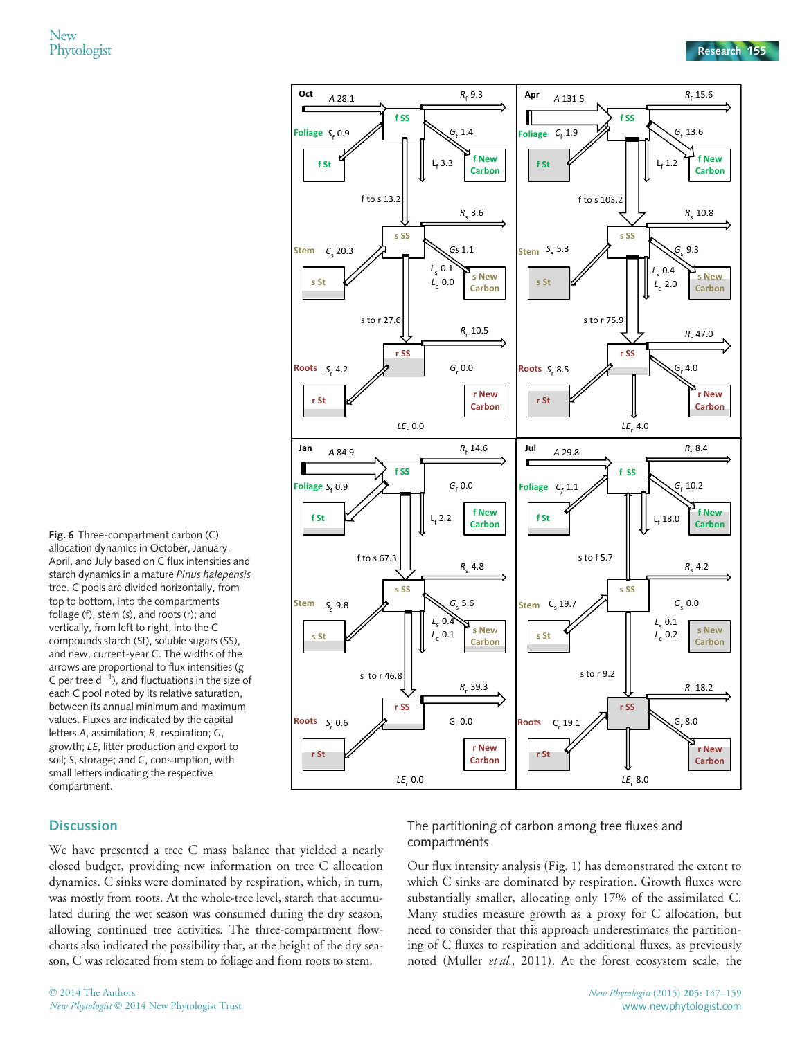$\overrightarrow{A}$  28.1  $R_f$  9.3  $A$  131.5  $R_f$  15.6 **f SS f SS** Foliage S<sub>f</sub> 0.9  $G_{\epsilon}$  1.4  $S_f$  0.9  $\bigvee$   $\qquad \qquad$   $\bigvee$   $G_f$  1.4 **Foliage**  $^{C_{\rm f} 1.9}$   $\bigvee$   $^{C_{\rm f} 13.6}$ *G***f New f New**   $L.1.2$ **f St f St Carbon Carbon** Lf Lf f to s 13.2 f to s 103.2  $rac{R_s}{2.6}$ *R*<sub>c</sub> 10.8  $\frac{1}{\sqrt{1-\frac{1}{2}}\sqrt{1-\frac{1}{2}}\left(\frac{1}{2}-\frac{1}{2}\right)}$ **s SS s SS Stem** *S*<sub>c</sub> 5.3  $C_s$  20.3  $\pi$   $\left[\sqrt{G_s} \frac{1}{1 + \frac{1}{\sqrt{G_s}}} \right]$  $S_5 5.3$   $\sqrt{1 - 9.3}$ *G***Stem**  $L_{\rm s}$  0.1  $\begin{array}{|c|c|c|c|c|}\n\hline\n\text{S} & \text{S} & \text{S} \\
\hline\n\text{S} & \text{S} & \text{S} \\
\hline\n\end{array}$ **s New s New s St** *L*c 0.0 **s St** *L*c 2.0 **Carbon Carbon** *R*r 10.5 s to r 75.9 *R* $\frac{1}{\sqrt{2}}$ **r SS r SS** Roots  $S_r$  4.2 *G***Roots**  $S_r$  4.2  $G_r$  0.0  $S_r$  8.5  $S_r$  8.5 **r New r New r St r St Carbon Carbon** *LE* $LE_r$  4.0 r 0.0 **Jan**  $4849$  **Contracts**  $R_f$  14.6 **Jul**  $A$  84.9  $R_f$  14.6  $\overrightarrow{A}$  29.8  $R_f$  8.4 Π **f SS f SS**  $S_f$  0.9  $\bigvee$   $\bigvee$   $\bigvee$   $\bigvee$   $\bigvee$   $\bigvee$   $G_f$  0.0  $C_f$  1.1 *G<sub>f</sub>* 10.2 **Foliage** Foliage  $C_f$  1.1 **f New**   $f$  St  $\left\{\n \begin{array}{ccc}\n \end{array}\n\right\}\n \left\{\n \begin{array}{ccc}\n \end{array}\n\right\}\n \left\{\n \begin{array}{ccc}\n \downarrow & 18.0\n \end{array}\n\right\}\n \left\{\n \begin{array}{ccc}\n \text{f New} \\
 \text{Corhom} \\
 \text{Forhom} \\
 \end{array}\n\right\}$ **f St Carbon Carbon** Lf Lf  $rac{R_{\rm s}}{2}$  4.8  $R_s$  4.2  $f_{\rm eff}$  to s  $\sim$ **s SS s SS** *G***Stem** *G* $S_5$  9.8  $\sqrt{G_5}$  5.6 **Stem** C<sub>s</sub> 19.7  $\frac{1}{\sqrt{2}}$   $\frac{1}{\sqrt{2}}$   $\frac{1}{\sqrt{2}}$   $\frac{1}{\sqrt{2}}$   $\frac{1}{\sqrt{2}}$   $\frac{1}{\sqrt{2}}$   $\frac{1}{\sqrt{2}}$  $L_{\rm s}$  0.1 *L*<sub>c</sub> 0.  $\frac{1}{2}$ 0.4 **s New**  s<br>່ດາ **s New**  *L*c 0.1  $L_c$  0.2 **s St s St Carbon Carbon**  $s$  to  $r$  46.8 *R*r 39.3 *R*r 18.2 **r SS r SS Roots**  $S_r$  0.6 **G**<sub>r</sub> 0.0 **Roots**  $C_r$  19.1  $\left\langle \begin{array}{c} \mathbf{0} \ \mathbf{0} \end{array} \right\rangle$ **r New r New r St r St Carbon Carbon** *LE*r 0.0 *LE*r 8.0

**Oct**  $\begin{array}{ccc} A \, 2R & 1 \end{array}$   $R_f \, 9.3$  **Apr** 

Fig. 6 Three-compartment carbon (C) allocation dynamics in October, January, April, and July based on C flux intensities and starch dynamics in a mature Pinus halepensis tree. C pools are divided horizontally, from top to bottom, into the compartments foliage (f), stem (s), and roots (r); and vertically, from left to right, into the C compounds starch (St), soluble sugars (SS), and new, current-year C. The widths of the arrows are proportional to flux intensities (g C per tree  $d^{-1}$ ), and fluctuations in the size of each C pool noted by its relative saturation, between its annual minimum and maximum values. Fluxes are indicated by the capital letters A, assimilation; R, respiration; G, growth; LE, litter production and export to soil; S, storage; and C, consumption, with small letters indicating the respective compartment.

# **Discussion**

We have presented a tree C mass balance that yielded a nearly closed budget, providing new information on tree C allocation dynamics. C sinks were dominated by respiration, which, in turn, was mostly from roots. At the whole-tree level, starch that accumulated during the wet season was consumed during the dry season, allowing continued tree activities. The three-compartment flowcharts also indicated the possibility that, at the height of the dry season, C was relocated from stem to foliage and from roots to stem.

# The partitioning of carbon among tree fluxes and compartments

Our flux intensity analysis (Fig. 1) has demonstrated the extent to which C sinks are dominated by respiration. Growth fluxes were substantially smaller, allocating only 17% of the assimilated C. Many studies measure growth as a proxy for C allocation, but need to consider that this approach underestimates the partitioning of C fluxes to respiration and additional fluxes, as previously noted (Muller et al., 2011). At the forest ecosystem scale, the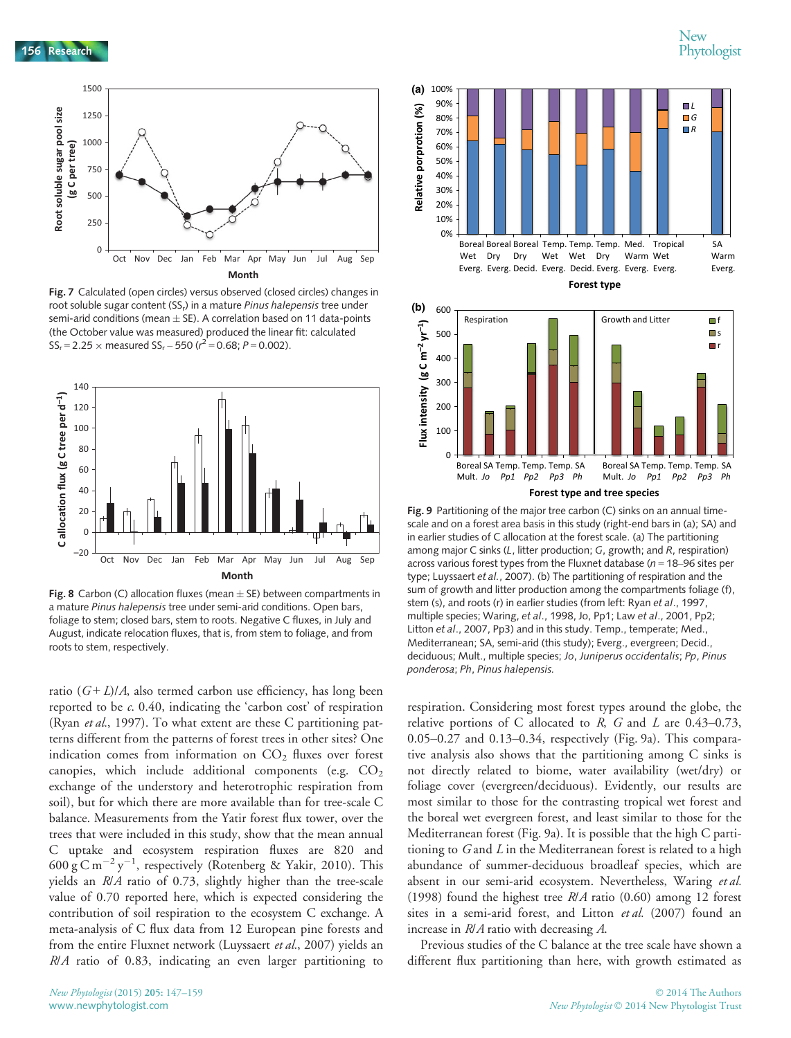

Fig. 7 Calculated (open circles) versus observed (closed circles) changes in root soluble sugar content (SS<sub>r</sub>) in a mature Pinus halepensis tree under semi-arid conditions (mean  $\pm$  SE). A correlation based on 11 data-points (the October value was measured) produced the linear fit: calculated  $SS_r = 2.25 \times$  measured  $SS_r - 550$  ( $r^2 = 0.68$ ;  $P = 0.002$ ).



**Fig. 8** Carbon (C) allocation fluxes (mean  $\pm$  SE) between compartments in a mature Pinus halepensis tree under semi-arid conditions. Open bars, foliage to stem; closed bars, stem to roots. Negative C fluxes, in July and August, indicate relocation fluxes, that is, from stem to foliage, and from roots to stem, respectively.

ratio  $(G+L)/A$ , also termed carbon use efficiency, has long been reported to be c. 0.40, indicating the 'carbon cost' of respiration (Ryan *et al.*, 1997). To what extent are these C partitioning patterns different from the patterns of forest trees in other sites? One indication comes from information on  $CO<sub>2</sub>$  fluxes over forest canopies, which include additional components (e.g.  $CO<sub>2</sub>$ ) exchange of the understory and heterotrophic respiration from soil), but for which there are more available than for tree-scale C balance. Measurements from the Yatir forest flux tower, over the trees that were included in this study, show that the mean annual C uptake and ecosystem respiration fluxes are 820 and 600 g C m<sup>-2</sup> y<sup>-1</sup>, respectively (Rotenberg & Yakir, 2010). This yields an R/A ratio of 0.73, slightly higher than the tree-scale value of 0.70 reported here, which is expected considering the contribution of soil respiration to the ecosystem C exchange. A meta-analysis of C flux data from 12 European pine forests and from the entire Fluxnet network (Luyssaert et al., 2007) yields an R/A ratio of 0.83, indicating an even larger partitioning to





Fig. 9 Partitioning of the major tree carbon (C) sinks on an annual timescale and on a forest area basis in this study (right-end bars in (a); SA) and in earlier studies of C allocation at the forest scale. (a) The partitioning among major C sinks (L, litter production; G, growth; and R, respiration) across various forest types from the Fluxnet database ( $n = 18-96$  sites per type; Luyssaert et al., 2007). (b) The partitioning of respiration and the sum of growth and litter production among the compartments foliage (f), stem (s), and roots (r) in earlier studies (from left: Ryan et al., 1997, multiple species; Waring, et al., 1998, Jo, Pp1; Law et al., 2001, Pp2; Litton et al., 2007, Pp3) and in this study. Temp., temperate; Med., Mediterranean; SA, semi-arid (this study); Everg., evergreen; Decid., deciduous; Mult., multiple species; Jo, Juniperus occidentalis; Pp, Pinus ponderosa; Ph, Pinus halepensis.

respiration. Considering most forest types around the globe, the relative portions of C allocated to R, G and L are  $0.43-0.73$ , 0.05–0.27 and 0.13–0.34, respectively (Fig. 9a). This comparative analysis also shows that the partitioning among C sinks is not directly related to biome, water availability (wet/dry) or foliage cover (evergreen/deciduous). Evidently, our results are most similar to those for the contrasting tropical wet forest and the boreal wet evergreen forest, and least similar to those for the Mediterranean forest (Fig. 9a). It is possible that the high C partitioning to  $G$  and  $L$  in the Mediterranean forest is related to a high abundance of summer-deciduous broadleaf species, which are absent in our semi-arid ecosystem. Nevertheless, Waring et al. (1998) found the highest tree R/A ratio (0.60) among 12 forest sites in a semi-arid forest, and Litton et al. (2007) found an increase in R/A ratio with decreasing A.

Previous studies of the C balance at the tree scale have shown a different flux partitioning than here, with growth estimated as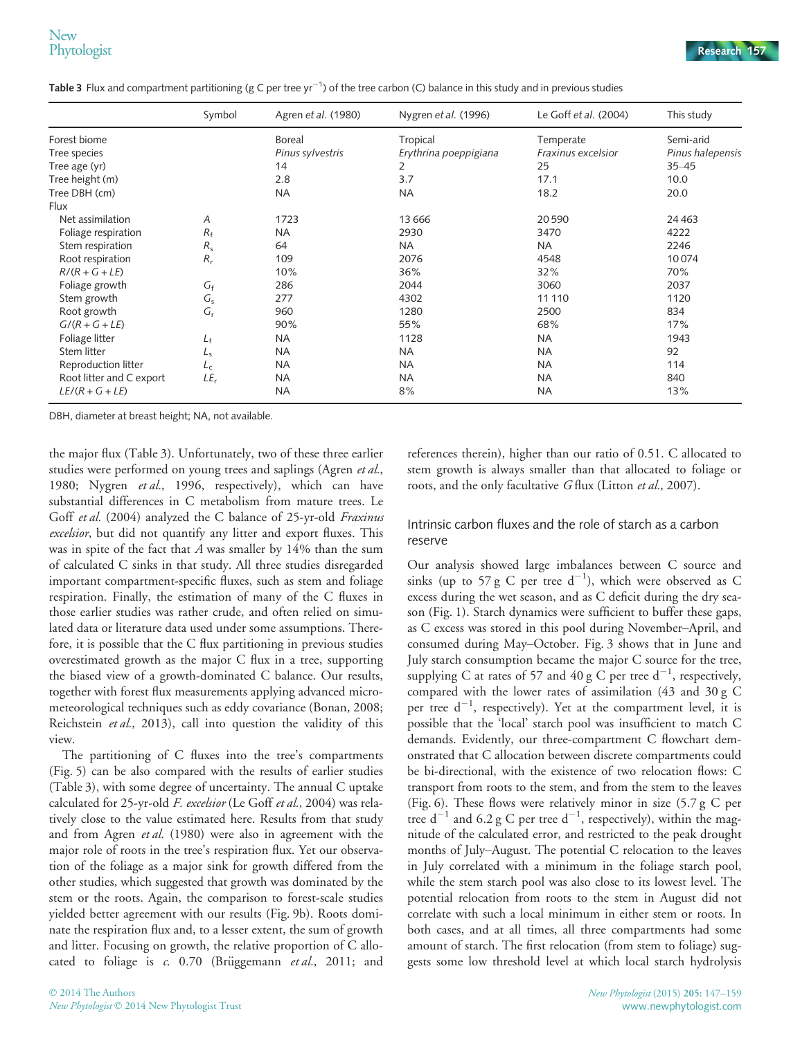<code>Table 3</code> Flux and compartment partitioning (g C per tree yr $^{-1}$ ) of the tree carbon (C) balance in this study and in previous studies

|                          | Symbol      | Agren et al. (1980) | Nygren et al. (1996)  | Le Goff et al. (2004) | This study       |
|--------------------------|-------------|---------------------|-----------------------|-----------------------|------------------|
| Forest biome             |             | Boreal              | Tropical              | Temperate             | Semi-arid        |
| Tree species             |             | Pinus sylvestris    | Erythrina poeppigiana | Fraxinus excelsior    | Pinus halepensis |
| Tree age (yr)            |             | 14                  | 2                     | 25                    | $35 - 45$        |
| Tree height (m)          |             | 2.8                 | 3.7                   | 17.1                  | 10.0             |
| Tree DBH (cm)            |             | <b>NA</b>           | <b>NA</b>             | 18.2                  | 20.0             |
| Flux                     |             |                     |                       |                       |                  |
| Net assimilation         | A           | 1723                | 13 6 66               | 20590                 | 24 4 63          |
| Foliage respiration      | $R_{\rm f}$ | <b>NA</b>           | 2930                  | 3470                  | 4222             |
| Stem respiration         | $R_{\rm s}$ | 64                  | NA.                   | <b>NA</b>             | 2246             |
| Root respiration         | $R_{r}$     | 109                 | 2076                  | 4548                  | 10074            |
| $R/(R+G+LE)$             |             | 10%                 | 36%                   | 32%                   | 70%              |
| Foliage growth           | $G_{f}$     | 286                 | 2044                  | 3060                  | 2037             |
| Stem growth              | $G_{5}$     | 277                 | 4302                  | 11 110                | 1120             |
| Root growth              | $G_r$       | 960                 | 1280                  | 2500                  | 834              |
| $G/(R+G+LE)$             |             | 90%                 | 55%                   | 68%                   | 17%              |
| Foliage litter           | $L_{\rm f}$ | <b>NA</b>           | 1128                  | <b>NA</b>             | 1943             |
| Stem litter              | $L_{\rm S}$ | <b>NA</b>           | <b>NA</b>             | <b>NA</b>             | 92               |
| Reproduction litter      | $L_{c}$     | <b>NA</b>           | <b>NA</b>             | <b>NA</b>             | 114              |
| Root litter and C export | $LE_r$      | <b>NA</b>           | <b>NA</b>             | <b>NA</b>             | 840              |
| $LE/(R + G + LE)$        |             | <b>NA</b>           | 8%                    | <b>NA</b>             | 13%              |

DBH, diameter at breast height; NA, not available.

the major flux (Table 3). Unfortunately, two of these three earlier studies were performed on young trees and saplings (Agren et al., 1980; Nygren et al., 1996, respectively), which can have substantial differences in C metabolism from mature trees. Le Goff et al. (2004) analyzed the C balance of 25-yr-old Fraxinus excelsior, but did not quantify any litter and export fluxes. This was in spite of the fact that  $A$  was smaller by 14% than the sum of calculated C sinks in that study. All three studies disregarded important compartment-specific fluxes, such as stem and foliage respiration. Finally, the estimation of many of the C fluxes in those earlier studies was rather crude, and often relied on simulated data or literature data used under some assumptions. Therefore, it is possible that the C flux partitioning in previous studies overestimated growth as the major C flux in a tree, supporting the biased view of a growth-dominated C balance. Our results, together with forest flux measurements applying advanced micrometeorological techniques such as eddy covariance (Bonan, 2008; Reichstein et al., 2013), call into question the validity of this view.

The partitioning of C fluxes into the tree's compartments (Fig. 5) can be also compared with the results of earlier studies (Table 3), with some degree of uncertainty. The annual C uptake calculated for 25-yr-old F. excelsior (Le Goff et al., 2004) was relatively close to the value estimated here. Results from that study and from Agren et al. (1980) were also in agreement with the major role of roots in the tree's respiration flux. Yet our observation of the foliage as a major sink for growth differed from the other studies, which suggested that growth was dominated by the stem or the roots. Again, the comparison to forest-scale studies yielded better agreement with our results (Fig. 9b). Roots dominate the respiration flux and, to a lesser extent, the sum of growth and litter. Focusing on growth, the relative proportion of C allocated to foliage is  $c$ . 0.70 (Brüggemann  $et al$ , 2011; and

references therein), higher than our ratio of 0.51. C allocated to stem growth is always smaller than that allocated to foliage or roots, and the only facultative G flux (Litton et al., 2007).

# Intrinsic carbon fluxes and the role of starch as a carbon reserve

Our analysis showed large imbalances between C source and sinks (up to 57 g C per tree  $d^{-1}$ ), which were observed as C excess during the wet season, and as C deficit during the dry season (Fig. 1). Starch dynamics were sufficient to buffer these gaps, as C excess was stored in this pool during November–April, and consumed during May–October. Fig. 3 shows that in June and July starch consumption became the major C source for the tree, supplying C at rates of 57 and 40 g C per tree  $d^{-1}$ , respectively, compared with the lower rates of assimilation (43 and 30 g C per tree  $d^{-1}$ , respectively). Yet at the compartment level, it is possible that the 'local' starch pool was insufficient to match C demands. Evidently, our three-compartment C flowchart demonstrated that C allocation between discrete compartments could be bi-directional, with the existence of two relocation flows: C transport from roots to the stem, and from the stem to the leaves (Fig. 6). These flows were relatively minor in size (5.7 g C per tree  $d^{-1}$  and 6.2 g C per tree  $d^{-1}$ , respectively), within the magnitude of the calculated error, and restricted to the peak drought months of July–August. The potential C relocation to the leaves in July correlated with a minimum in the foliage starch pool, while the stem starch pool was also close to its lowest level. The potential relocation from roots to the stem in August did not correlate with such a local minimum in either stem or roots. In both cases, and at all times, all three compartments had some amount of starch. The first relocation (from stem to foliage) suggests some low threshold level at which local starch hydrolysis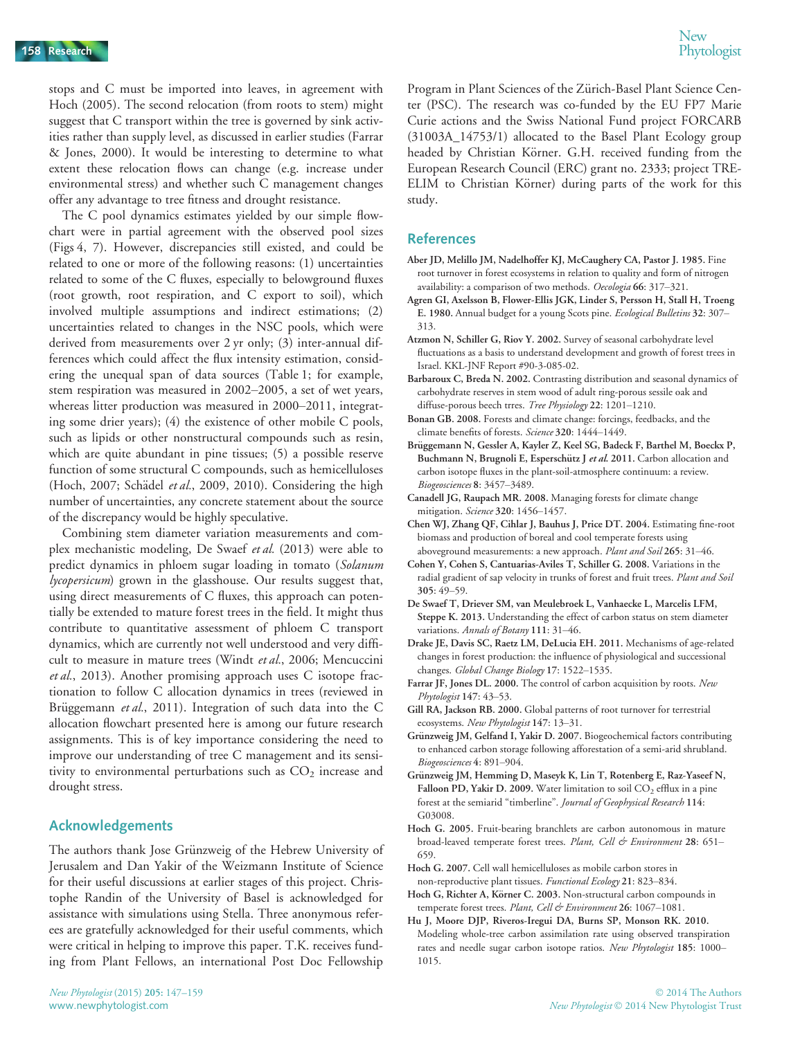stops and C must be imported into leaves, in agreement with Hoch (2005). The second relocation (from roots to stem) might suggest that C transport within the tree is governed by sink activities rather than supply level, as discussed in earlier studies (Farrar & Jones, 2000). It would be interesting to determine to what extent these relocation flows can change (e.g. increase under environmental stress) and whether such C management changes offer any advantage to tree fitness and drought resistance.

The C pool dynamics estimates yielded by our simple flowchart were in partial agreement with the observed pool sizes (Figs 4, 7). However, discrepancies still existed, and could be related to one or more of the following reasons: (1) uncertainties related to some of the C fluxes, especially to belowground fluxes (root growth, root respiration, and C export to soil), which involved multiple assumptions and indirect estimations; (2) uncertainties related to changes in the NSC pools, which were derived from measurements over 2 yr only; (3) inter-annual differences which could affect the flux intensity estimation, considering the unequal span of data sources (Table 1; for example, stem respiration was measured in 2002–2005, a set of wet years, whereas litter production was measured in 2000–2011, integrating some drier years); (4) the existence of other mobile C pools, such as lipids or other nonstructural compounds such as resin, which are quite abundant in pine tissues; (5) a possible reserve function of some structural C compounds, such as hemicelluloses (Hoch, 2007; Schädel et al., 2009, 2010). Considering the high number of uncertainties, any concrete statement about the source of the discrepancy would be highly speculative.

Combining stem diameter variation measurements and complex mechanistic modeling, De Swaef et al. (2013) were able to predict dynamics in phloem sugar loading in tomato (Solanum lycopersicum) grown in the glasshouse. Our results suggest that, using direct measurements of C fluxes, this approach can potentially be extended to mature forest trees in the field. It might thus contribute to quantitative assessment of phloem C transport dynamics, which are currently not well understood and very difficult to measure in mature trees (Windt et al., 2006; Mencuccini et al., 2013). Another promising approach uses C isotope fractionation to follow C allocation dynamics in trees (reviewed in Brüggemann et al., 2011). Integration of such data into the C allocation flowchart presented here is among our future research assignments. This is of key importance considering the need to improve our understanding of tree C management and its sensitivity to environmental perturbations such as  $CO<sub>2</sub>$  increase and drought stress.

### Acknowledgements

The authors thank Jose Grünzweig of the Hebrew University of Jerusalem and Dan Yakir of the Weizmann Institute of Science for their useful discussions at earlier stages of this project. Christophe Randin of the University of Basel is acknowledged for assistance with simulations using Stella. Three anonymous referees are gratefully acknowledged for their useful comments, which were critical in helping to improve this paper. T.K. receives funding from Plant Fellows, an international Post Doc Fellowship

Program in Plant Sciences of the Zürich-Basel Plant Science Center (PSC). The research was co-funded by the EU FP7 Marie Curie actions and the Swiss National Fund project FORCARB (31003A\_14753/1) allocated to the Basel Plant Ecology group headed by Christian Körner. G.H. received funding from the European Research Council (ERC) grant no. 2333; project TRE-ELIM to Christian Körner) during parts of the work for this study.

#### References

- Aber JD, Melillo JM, Nadelhoffer KJ, McCaughery CA, Pastor J. 1985. Fine root turnover in forest ecosystems in relation to quality and form of nitrogen availability: a comparison of two methods. Oecologia 66: 317-321.
- Agren GI, Axelsson B, Flower-Ellis JGK, Linder S, Persson H, Stall H, Troeng E. 1980. Annual budget for a young Scots pine. Ecological Bulletins 32: 307-313.
- Atzmon N, Schiller G, Riov Y. 2002. Survey of seasonal carbohydrate level fluctuations as a basis to understand development and growth of forest trees in Israel. KKL-JNF Report #90-3-085-02.
- Barbaroux C, Breda N. 2002. Contrasting distribution and seasonal dynamics of carbohydrate reserves in stem wood of adult ring-porous sessile oak and diffuse-porous beech trres. Tree Physiology 22: 1201-1210.
- Bonan GB. 2008. Forests and climate change: forcings, feedbacks, and the climate benefits of forests. Science 320: 1444-1449.
- Brüggemann N, Gessler A, Kayler Z, Keel SG, Badeck F, Barthel M, Boeckx P, Buchmann N, Brugnoli E, Esperschütz J et al. 2011. Carbon allocation and carbon isotope fluxes in the plant-soil-atmosphere continuum: a review. Biogeosciences 8: 3457–3489.
- Canadell JG, Raupach MR. 2008. Managing forests for climate change mitigation. Science 320: 1456–1457.
- Chen WJ, Zhang QF, Cihlar J, Bauhus J, Price DT. 2004. Estimating fine-root biomass and production of boreal and cool temperate forests using aboveground measurements: a new approach. Plant and Soil 265: 31–46.
- Cohen Y, Cohen S, Cantuarias-Aviles T, Schiller G. 2008. Variations in the radial gradient of sap velocity in trunks of forest and fruit trees. Plant and Soil 305: 49–59.
- De Swaef T, Driever SM, van Meulebroek L, Vanhaecke L, Marcelis LFM, Steppe K. 2013. Understanding the effect of carbon status on stem diameter variations. Annals of Botany 111: 31–46.
- Drake JE, Davis SC, Raetz LM, DeLucia EH. 2011. Mechanisms of age-related changes in forest production: the influence of physiological and successional changes. Global Change Biology 17: 1522-1535.
- Farrar JF, Jones DL. 2000. The control of carbon acquisition by roots. New Phytologist 147: 43–53.
- Gill RA, Jackson RB. 2000. Global patterns of root turnover for terrestrial ecosystems. New Phytologist 147: 13–31.
- Grünzweig JM, Gelfand I, Yakir D. 2007. Biogeochemical factors contributing to enhanced carbon storage following afforestation of a semi-arid shrubland. Biogeosciences 4: 891–904.
- Grünzweig JM, Hemming D, Maseyk K, Lin T, Rotenberg E, Raz-Yaseef N, Falloon PD, Yakir D. 2009. Water limitation to soil  $CO<sub>2</sub>$  efflux in a pine forest at the semiarid "timberline". Journal of Geophysical Research 114: G03008.
- Hoch G. 2005. Fruit-bearing branchlets are carbon autonomous in mature broad-leaved temperate forest trees. Plant, Cell & Environment 28: 651-659.
- Hoch G. 2007. Cell wall hemicelluloses as mobile carbon stores in non-reproductive plant tissues. Functional Ecology 21: 823–834.
- Hoch G, Richter A, Körner C. 2003. Non-structural carbon compounds in temperate forest trees. Plant, Cell & Environment 26: 1067-1081.
- Hu J, Moore DJP, Riveros-Iregui DA, Burns SP, Monson RK. 2010. Modeling whole-tree carbon assimilation rate using observed transpiration rates and needle sugar carbon isotope ratios. New Phytologist 185: 1000– 1015.